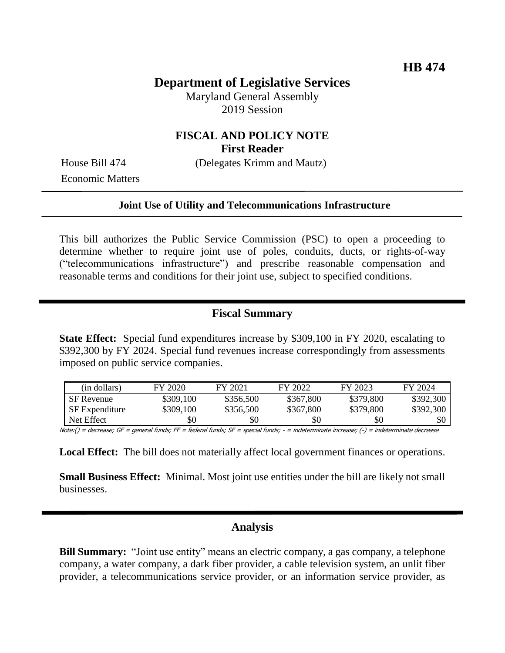# **Department of Legislative Services**

Maryland General Assembly 2019 Session

### **FISCAL AND POLICY NOTE First Reader**

Economic Matters

House Bill 474 (Delegates Krimm and Mautz)

#### **Joint Use of Utility and Telecommunications Infrastructure**

This bill authorizes the Public Service Commission (PSC) to open a proceeding to determine whether to require joint use of poles, conduits, ducts, or rights-of-way ("telecommunications infrastructure") and prescribe reasonable compensation and reasonable terms and conditions for their joint use, subject to specified conditions.

#### **Fiscal Summary**

**State Effect:** Special fund expenditures increase by \$309,100 in FY 2020, escalating to \$392,300 by FY 2024. Special fund revenues increase correspondingly from assessments imposed on public service companies.

| (in dollars)          | FY 2020   | FY 2021   | FY 2022   | FY 2023   | FY 2024   |
|-----------------------|-----------|-----------|-----------|-----------|-----------|
| <b>SF</b> Revenue     | \$309,100 | \$356,500 | \$367,800 | \$379,800 | \$392,300 |
| <b>SF</b> Expenditure | \$309,100 | \$356,500 | \$367,800 | \$379,800 | \$392,300 |
| Net Effect            | \$0       | \$0       | \$0       | \$0       | \$0       |

Note:() = decrease; GF = general funds; FF = federal funds; SF = special funds; - = indeterminate increase; (-) = indeterminate decrease

**Local Effect:** The bill does not materially affect local government finances or operations.

**Small Business Effect:** Minimal. Most joint use entities under the bill are likely not small businesses.

### **Analysis**

**Bill Summary:** "Joint use entity" means an electric company, a gas company, a telephone company, a water company, a dark fiber provider, a cable television system, an unlit fiber provider, a telecommunications service provider, or an information service provider, as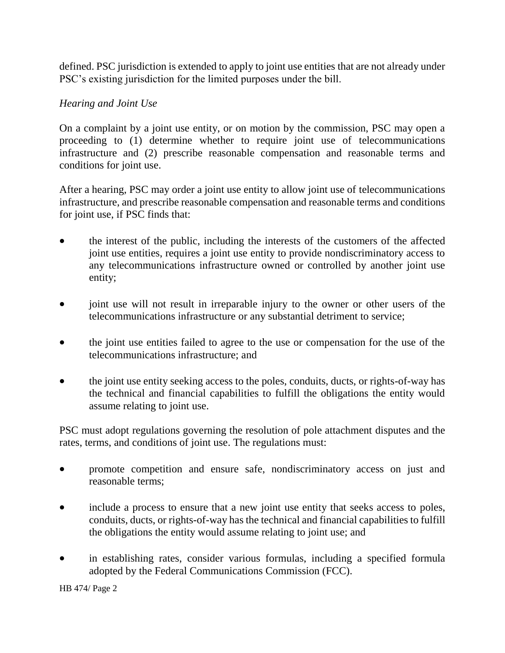defined. PSC jurisdiction is extended to apply to joint use entities that are not already under PSC's existing jurisdiction for the limited purposes under the bill.

### *Hearing and Joint Use*

On a complaint by a joint use entity, or on motion by the commission, PSC may open a proceeding to (1) determine whether to require joint use of telecommunications infrastructure and (2) prescribe reasonable compensation and reasonable terms and conditions for joint use.

After a hearing, PSC may order a joint use entity to allow joint use of telecommunications infrastructure, and prescribe reasonable compensation and reasonable terms and conditions for joint use, if PSC finds that:

- the interest of the public, including the interests of the customers of the affected joint use entities, requires a joint use entity to provide nondiscriminatory access to any telecommunications infrastructure owned or controlled by another joint use entity;
- joint use will not result in irreparable injury to the owner or other users of the telecommunications infrastructure or any substantial detriment to service;
- the joint use entities failed to agree to the use or compensation for the use of the telecommunications infrastructure; and
- the joint use entity seeking access to the poles, conduits, ducts, or rights-of-way has the technical and financial capabilities to fulfill the obligations the entity would assume relating to joint use.

PSC must adopt regulations governing the resolution of pole attachment disputes and the rates, terms, and conditions of joint use. The regulations must:

- promote competition and ensure safe, nondiscriminatory access on just and reasonable terms;
- include a process to ensure that a new joint use entity that seeks access to poles, conduits, ducts, or rights-of-way has the technical and financial capabilities to fulfill the obligations the entity would assume relating to joint use; and
- in establishing rates, consider various formulas, including a specified formula adopted by the Federal Communications Commission (FCC).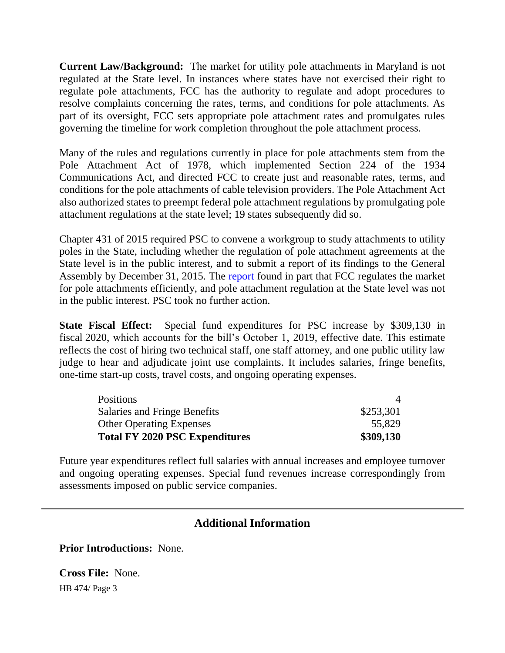**Current Law/Background:** The market for utility pole attachments in Maryland is not regulated at the State level. In instances where states have not exercised their right to regulate pole attachments, FCC has the authority to regulate and adopt procedures to resolve complaints concerning the rates, terms, and conditions for pole attachments. As part of its oversight, FCC sets appropriate pole attachment rates and promulgates rules governing the timeline for work completion throughout the pole attachment process.

Many of the rules and regulations currently in place for pole attachments stem from the Pole Attachment Act of 1978, which implemented Section 224 of the 1934 Communications Act, and directed FCC to create just and reasonable rates, terms, and conditions for the pole attachments of cable television providers. The Pole Attachment Act also authorized states to preempt federal pole attachment regulations by promulgating pole attachment regulations at the state level; 19 states subsequently did so.

Chapter 431 of 2015 required PSC to convene a workgroup to study attachments to utility poles in the State, including whether the regulation of pole attachment agreements at the State level is in the public interest, and to submit a report of its findings to the General Assembly by December 31, 2015. The [report](http://dlslibrary.state.md.us/publications/Exec/PSC/HB541Ch431_2015.pdf) found in part that FCC regulates the market for pole attachments efficiently, and pole attachment regulation at the State level was not in the public interest. PSC took no further action.

**State Fiscal Effect:** Special fund expenditures for PSC increase by \$309,130 in fiscal 2020, which accounts for the bill's October 1, 2019, effective date. This estimate reflects the cost of hiring two technical staff, one staff attorney, and one public utility law judge to hear and adjudicate joint use complaints. It includes salaries, fringe benefits, one-time start-up costs, travel costs, and ongoing operating expenses.

| Positions                             |           |
|---------------------------------------|-----------|
| Salaries and Fringe Benefits          | \$253,301 |
| <b>Other Operating Expenses</b>       | 55,829    |
| <b>Total FY 2020 PSC Expenditures</b> | \$309,130 |

Future year expenditures reflect full salaries with annual increases and employee turnover and ongoing operating expenses. Special fund revenues increase correspondingly from assessments imposed on public service companies.

## **Additional Information**

**Prior Introductions:** None.

HB 474/ Page 3 **Cross File:** None.